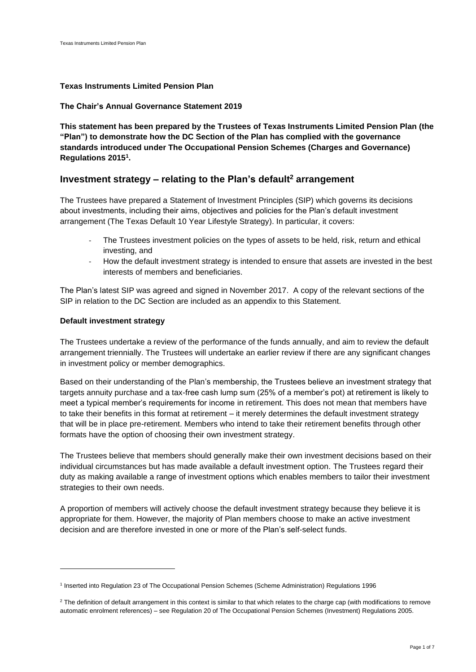# **Texas Instruments Limited Pension Plan**

# **The Chair's Annual Governance Statement 2019**

**This statement has been prepared by the Trustees of Texas Instruments Limited Pension Plan (the "Plan") to demonstrate how the DC Section of the Plan has complied with the governance standards introduced under The Occupational Pension Schemes (Charges and Governance) Regulations 2015<sup>1</sup> .** 

# **Investment strategy – relating to the Plan's default<sup>2</sup> arrangement**

The Trustees have prepared a Statement of Investment Principles (SIP) which governs its decisions about investments, including their aims, objectives and policies for the Plan's default investment arrangement (The Texas Default 10 Year Lifestyle Strategy). In particular, it covers:

- The Trustees investment policies on the types of assets to be held, risk, return and ethical investing, and
- How the default investment strategy is intended to ensure that assets are invested in the best interests of members and beneficiaries.

The Plan's latest SIP was agreed and signed in November 2017. A copy of the relevant sections of the SIP in relation to the DC Section are included as an appendix to this Statement.

# **Default investment strategy**

The Trustees undertake a review of the performance of the funds annually, and aim to review the default arrangement triennially. The Trustees will undertake an earlier review if there are any significant changes in investment policy or member demographics.

Based on their understanding of the Plan's membership, the Trustees believe an investment strategy that targets annuity purchase and a tax-free cash lump sum (25% of a member's pot) at retirement is likely to meet a typical member's requirements for income in retirement. This does not mean that members have to take their benefits in this format at retirement – it merely determines the default investment strategy that will be in place pre-retirement. Members who intend to take their retirement benefits through other formats have the option of choosing their own investment strategy.

The Trustees believe that members should generally make their own investment decisions based on their individual circumstances but has made available a default investment option. The Trustees regard their duty as making available a range of investment options which enables members to tailor their investment strategies to their own needs.

A proportion of members will actively choose the default investment strategy because they believe it is appropriate for them. However, the majority of Plan members choose to make an active investment decision and are therefore invested in one or more of the Plan's self-select funds.

<sup>&</sup>lt;sup>1</sup> Inserted into Regulation 23 of The Occupational Pension Schemes (Scheme Administration) Regulations 1996

<sup>&</sup>lt;sup>2</sup> The definition of default arrangement in this context is similar to that which relates to the charge cap (with modifications to remove automatic enrolment references) – see Regulation 20 of The Occupational Pension Schemes (Investment) Regulations 2005.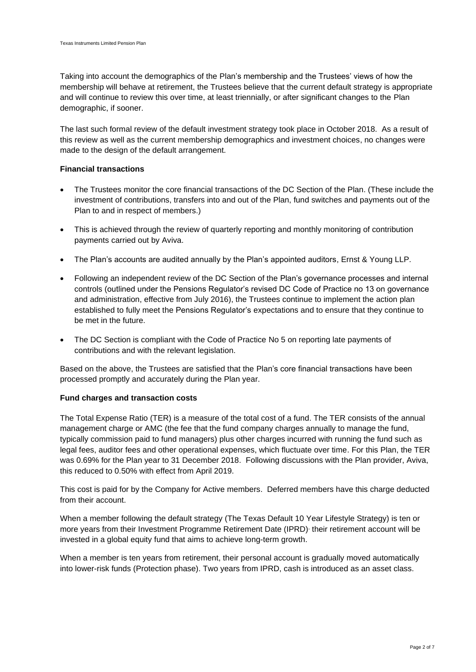Taking into account the demographics of the Plan's membership and the Trustees' views of how the membership will behave at retirement, the Trustees believe that the current default strategy is appropriate and will continue to review this over time, at least triennially, or after significant changes to the Plan demographic, if sooner.

The last such formal review of the default investment strategy took place in October 2018. As a result of this review as well as the current membership demographics and investment choices, no changes were made to the design of the default arrangement.

# **Financial transactions**

- The Trustees monitor the core financial transactions of the DC Section of the Plan. (These include the investment of contributions, transfers into and out of the Plan, fund switches and payments out of the Plan to and in respect of members.)
- This is achieved through the review of quarterly reporting and monthly monitoring of contribution payments carried out by Aviva.
- The Plan's accounts are audited annually by the Plan's appointed auditors, Ernst & Young LLP.
- Following an independent review of the DC Section of the Plan's governance processes and internal controls (outlined under the Pensions Regulator's revised DC Code of Practice no 13 on governance and administration, effective from July 2016), the Trustees continue to implement the action plan established to fully meet the Pensions Regulator's expectations and to ensure that they continue to be met in the future.
- The DC Section is compliant with the Code of Practice No 5 on reporting late payments of contributions and with the relevant legislation.

Based on the above, the Trustees are satisfied that the Plan's core financial transactions have been processed promptly and accurately during the Plan year.

# **Fund charges and transaction costs**

The Total Expense Ratio (TER) is a measure of the total cost of a fund. The TER consists of the annual management charge or AMC (the fee that the fund company charges annually to manage the fund, typically commission paid to fund managers) plus other charges incurred with running the fund such as legal fees, [auditor](http://www.investopedia.com/terms/a/auditor.asp) fees and other operational expenses, which fluctuate over time. For this Plan, the TER was 0.69% for the Plan year to 31 December 2018. Following discussions with the Plan provider, Aviva, this reduced to 0.50% with effect from April 2019.

This cost is paid for by the Company for Active members. Deferred members have this charge deducted from their account.

When a member following the default strategy (The Texas Default 10 Year Lifestyle Strategy) is ten or more years from their Investment Programme Retirement Date (IPRD), their retirement account will be invested in a global equity fund that aims to achieve long-term growth.

When a member is ten years from retirement, their personal account is gradually moved automatically into lower-risk funds (Protection phase). Two years from IPRD, cash is introduced as an asset class.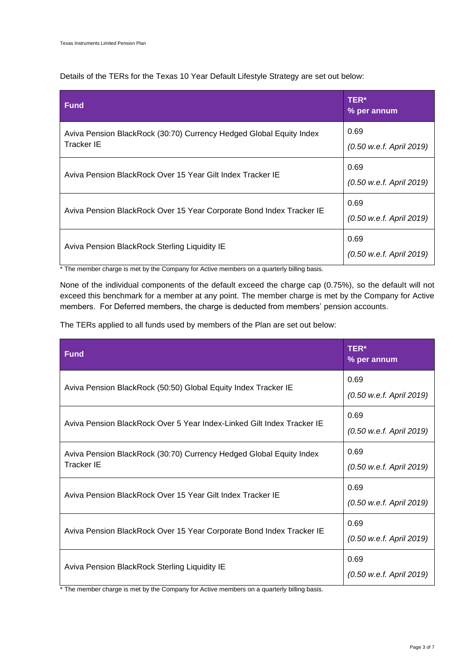Details of the TERs for the Texas 10 Year Default Lifestyle Strategy are set out below:

| <b>Fund</b>                                                                              | TER*<br>% per annum              |
|------------------------------------------------------------------------------------------|----------------------------------|
| Aviva Pension BlackRock (30:70) Currency Hedged Global Equity Index<br><b>Tracker IE</b> | 0.69<br>(0.50 w.e.f. April 2019) |
| Aviva Pension BlackRock Over 15 Year Gilt Index Tracker IE                               | 0.69<br>(0.50 w.e.f. April 2019) |
| Aviva Pension BlackRock Over 15 Year Corporate Bond Index Tracker IE                     | 0.69<br>(0.50 w.e.f. April 2019) |
| Aviva Pension BlackRock Sterling Liquidity IE                                            | 0.69<br>(0.50 w.e.f. April 2019) |

\* The member charge is met by the Company for Active members on a quarterly billing basis.

None of the individual components of the default exceed the charge cap (0.75%), so the default will not exceed this benchmark for a member at any point. The member charge is met by the Company for Active members. For Deferred members, the charge is deducted from members' pension accounts.

The TERs applied to all funds used by members of the Plan are set out below:

| <b>Fund</b>                                                                              | TER*<br>% per annum              |  |
|------------------------------------------------------------------------------------------|----------------------------------|--|
| Aviva Pension BlackRock (50:50) Global Equity Index Tracker IE                           | 0.69<br>(0.50 w.e.f. April 2019) |  |
|                                                                                          | 0.69                             |  |
| Aviva Pension BlackRock Over 5 Year Index-Linked Gilt Index Tracker IE                   | (0.50 w.e.f. April 2019)         |  |
| Aviva Pension BlackRock (30:70) Currency Hedged Global Equity Index<br><b>Tracker IE</b> | 0.69<br>(0.50 w.e.f. April 2019) |  |
| Aviva Pension BlackRock Over 15 Year Gilt Index Tracker IE                               | 0.69<br>(0.50 w.e.f. April 2019) |  |
| Aviva Pension BlackRock Over 15 Year Corporate Bond Index Tracker IE                     | 0.69<br>(0.50 w.e.f. April 2019) |  |
| Aviva Pension BlackRock Sterling Liquidity IE                                            | 0.69<br>(0.50 w.e.f. April 2019) |  |

\* The member charge is met by the Company for Active members on a quarterly billing basis.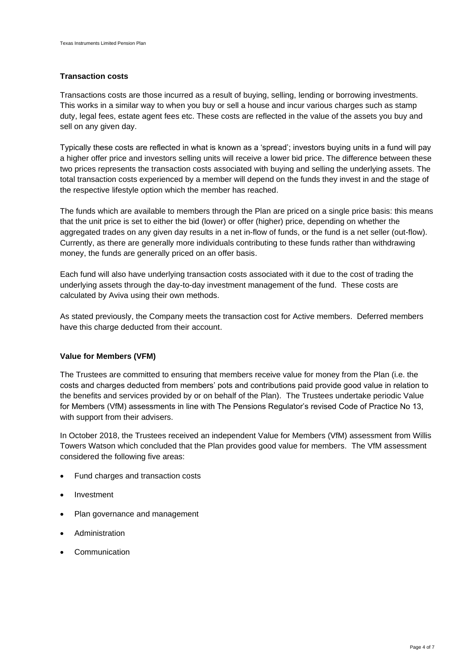#### **Transaction costs**

Transactions costs are those incurred as a result of buying, selling, lending or borrowing investments. This works in a similar way to when you buy or sell a house and incur various charges such as stamp duty, legal fees, estate agent fees etc. These costs are reflected in the value of the assets you buy and sell on any given day.

Typically these costs are reflected in what is known as a 'spread'; investors buying units in a fund will pay a higher offer price and investors selling units will receive a lower bid price. The difference between these two prices represents the transaction costs associated with buying and selling the underlying assets. The total transaction costs experienced by a member will depend on the funds they invest in and the stage of the respective lifestyle option which the member has reached.

The funds which are available to members through the Plan are priced on a single price basis: this means that the unit price is set to either the bid (lower) or offer (higher) price, depending on whether the aggregated trades on any given day results in a net in-flow of funds, or the fund is a net seller (out-flow). Currently, as there are generally more individuals contributing to these funds rather than withdrawing money, the funds are generally priced on an offer basis.

Each fund will also have underlying transaction costs associated with it due to the cost of trading the underlying assets through the day-to-day investment management of the fund. These costs are calculated by Aviva using their own methods.

As stated previously, the Company meets the transaction cost for Active members. Deferred members have this charge deducted from their account.

# **Value for Members (VFM)**

The Trustees are committed to ensuring that members receive value for money from the Plan (i.e. the costs and charges deducted from members' pots and contributions paid provide good value in relation to the benefits and services provided by or on behalf of the Plan). The Trustees undertake periodic Value for Members (VfM) assessments in line with The Pensions Regulator's revised Code of Practice No 13, with support from their advisers.

In October 2018, the Trustees received an independent Value for Members (VfM) assessment from Willis Towers Watson which concluded that the Plan provides good value for members. The VfM assessment considered the following five areas:

- Fund charges and transaction costs
- **Investment**
- Plan governance and management
- **Administration**
- **Communication**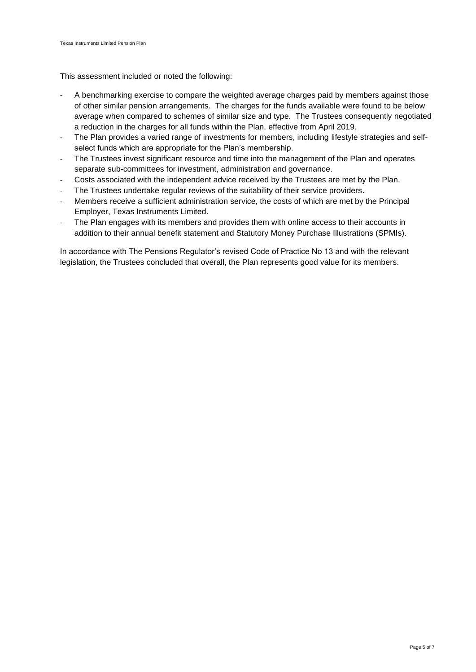This assessment included or noted the following:

- A benchmarking exercise to compare the weighted average charges paid by members against those of other similar pension arrangements. The charges for the funds available were found to be below average when compared to schemes of similar size and type. The Trustees consequently negotiated a reduction in the charges for all funds within the Plan, effective from April 2019.
- The Plan provides a varied range of investments for members, including lifestyle strategies and selfselect funds which are appropriate for the Plan's membership.
- The Trustees invest significant resource and time into the management of the Plan and operates separate sub-committees for investment, administration and governance.
- Costs associated with the independent advice received by the Trustees are met by the Plan.
- The Trustees undertake regular reviews of the suitability of their service providers.
- Members receive a sufficient administration service, the costs of which are met by the Principal Employer, Texas Instruments Limited.
- The Plan engages with its members and provides them with online access to their accounts in addition to their annual benefit statement and Statutory Money Purchase Illustrations (SPMIs).

In accordance with The Pensions Regulator's revised Code of Practice No 13 and with the relevant legislation, the Trustees concluded that overall, the Plan represents good value for its members.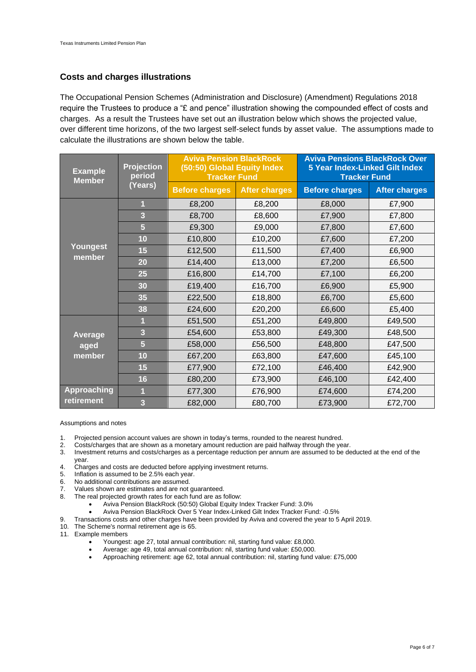# **Costs and charges illustrations**

The Occupational Pension Schemes (Administration and Disclosure) (Amendment) Regulations 2018 require the Trustees to produce a "£ and pence" illustration showing the compounded effect of costs and charges. As a result the Trustees have set out an illustration below which shows the projected value, over different time horizons, of the two largest self-select funds by asset value. The assumptions made to calculate the illustrations are shown below the table.

| <b>Example</b><br><b>Member</b> | <b>Projection</b><br>period | <b>Aviva Pension BlackRock</b><br>(50:50) Global Equity Index<br><b>Tracker Fund</b> |                      | <b>Aviva Pensions BlackRock Over</b><br><b>5 Year Index-Linked Gilt Index</b><br><b>Tracker Fund</b> |                      |
|---------------------------------|-----------------------------|--------------------------------------------------------------------------------------|----------------------|------------------------------------------------------------------------------------------------------|----------------------|
|                                 | (Years)                     | <b>Before charges</b>                                                                | <b>After charges</b> | <b>Before charges</b>                                                                                | <b>After charges</b> |
|                                 |                             | £8,200                                                                               | £8,200               | £8,000                                                                                               | £7,900               |
|                                 | 3                           | £8,700                                                                               | £8,600               | £7,900                                                                                               | £7,800               |
|                                 | 5                           | £9,300                                                                               | £9,000               | £7,800                                                                                               | £7,600               |
|                                 | 10                          | £10,800                                                                              | £10,200              | £7,600                                                                                               | £7,200               |
| Youngest                        | 15                          | £12,500                                                                              | £11,500              | £7,400                                                                                               | £6,900               |
| member                          | 20                          | £14,400                                                                              | £13,000              | £7,200                                                                                               | £6,500               |
|                                 | 25                          | £16,800                                                                              | £14,700              | £7,100                                                                                               | £6,200               |
|                                 | 30                          | £19,400                                                                              | £16,700              | £6,900                                                                                               | £5,900               |
|                                 | 35                          | £22,500                                                                              | £18,800              | £6,700                                                                                               | £5,600               |
|                                 | 38                          | £24,600                                                                              | £20,200              | £6,600                                                                                               | £5,400               |
|                                 |                             | £51,500                                                                              | £51,200              | £49,800                                                                                              | £49,500              |
| Average                         | 3                           | £54,600                                                                              | £53,800              | £49,300                                                                                              | £48,500              |
| aged                            | $\overline{\mathbf{5}}$     | £58,000                                                                              | £56,500              | £48,800                                                                                              | £47,500              |
| member                          | 10                          | £67,200                                                                              | £63,800              | £47,600                                                                                              | £45,100              |
|                                 | 15                          | £77,900                                                                              | £72,100              | £46,400                                                                                              | £42,900              |
|                                 | 16                          | £80,200                                                                              | £73,900              | £46,100                                                                                              | £42,400              |
| <b>Approaching</b>              |                             | £77,300                                                                              | £76,900              | £74,600                                                                                              | £74,200              |
| retirement                      | 3                           | £82,000                                                                              | £80,700              | £73,900                                                                                              | £72,700              |

Assumptions and notes

- 1. Projected pension account values are shown in today's terms, rounded to the nearest hundred.
- 2. Costs/charges that are shown as a monetary amount reduction are paid halfway through the year.<br>3. Investment returns and costs/charges as a percentage reduction per annum are assumed to be de
- Investment returns and costs/charges as a percentage reduction per annum are assumed to be deducted at the end of the year.
- 4. Charges and costs are deducted before applying investment returns.<br>5. Inflation is assumed to be 2.5% each year.
- Inflation is assumed to be 2.5% each year.
- 6. No additional contributions are assumed.
- 7. Values shown are estimates and are not guaranteed.<br>8. The real projected growth rates for each fund are as 1
- The real projected growth rates for each fund are as follow:
	- Aviva Pension BlackRock (50:50) Global Equity Index Tracker Fund: 3.0%
	- Aviva Pension BlackRock Over 5 Year Index-Linked Gilt Index Tracker Fund: -0.5%
- 9. Transactions costs and other charges have been provided by Aviva and covered the year to 5 April 2019.
- 10. The Scheme's normal retirement age is 65.
- 11. Example members
	- Youngest: age 27, total annual contribution: nil, starting fund value: £8,000.
	- Average: age 49, total annual contribution: nil, starting fund value: £50,000.
	- Approaching retirement: age 62, total annual contribution: nil, starting fund value: £75,000